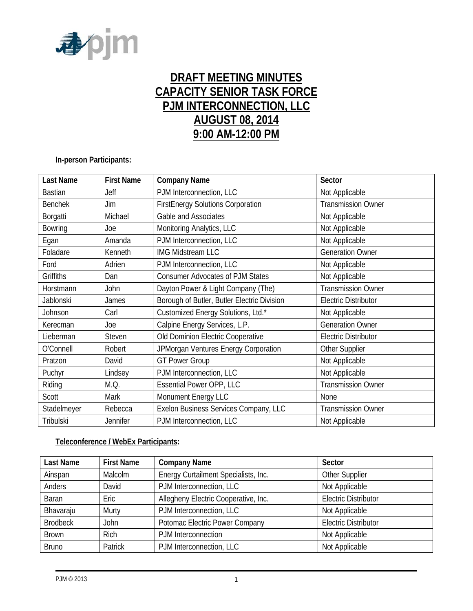

# **DRAFT MEETING MINUTES CAPACITY SENIOR TASK FORCE PJM INTERCONNECTION, LLC AUGUST 08, 2014 9:00 AM-12:00 PM**

## **In-person Participants:**

| Last Name      | <b>First Name</b> | <b>Company Name</b>                         | Sector                      |
|----------------|-------------------|---------------------------------------------|-----------------------------|
| <b>Bastian</b> | Jeff              | PJM Interconnection, LLC                    | Not Applicable              |
| <b>Benchek</b> | Jim               | <b>FirstEnergy Solutions Corporation</b>    | <b>Transmission Owner</b>   |
| Borgatti       | Michael           | Gable and Associates                        | Not Applicable              |
| <b>Bowring</b> | Joe               | Monitoring Analytics, LLC                   | Not Applicable              |
| Egan           | Amanda            | PJM Interconnection, LLC                    | Not Applicable              |
| Foladare       | Kenneth           | <b>IMG Midstream LLC</b>                    | <b>Generation Owner</b>     |
| Ford           | Adrien            | PJM Interconnection, LLC                    | Not Applicable              |
| Griffiths      | Dan               | <b>Consumer Advocates of PJM States</b>     | Not Applicable              |
| Horstmann      | John              | Dayton Power & Light Company (The)          | <b>Transmission Owner</b>   |
| Jablonski      | James             | Borough of Butler, Butler Electric Division | <b>Electric Distributor</b> |
| Johnson        | Carl              | Customized Energy Solutions, Ltd.*          | Not Applicable              |
| Kerecman       | Joe               | Calpine Energy Services, L.P.               | <b>Generation Owner</b>     |
| Lieberman      | <b>Steven</b>     | Old Dominion Electric Cooperative           | <b>Electric Distributor</b> |
| O'Connell      | Robert            | JPMorgan Ventures Energy Corporation        | Other Supplier              |
| Pratzon        | David             | <b>GT Power Group</b>                       | Not Applicable              |
| Puchyr         | Lindsey           | PJM Interconnection, LLC                    | Not Applicable              |
| Riding         | M.Q.              | <b>Essential Power OPP, LLC</b>             | <b>Transmission Owner</b>   |
| Scott          | Mark              | Monument Energy LLC                         | <b>None</b>                 |
| Stadelmeyer    | Rebecca           | Exelon Business Services Company, LLC       | <b>Transmission Owner</b>   |
| Tribulski      | Jennifer          | PJM Interconnection, LLC                    | Not Applicable              |

# **Teleconference / WebEx Participants:**

| Last Name       | <b>First Name</b> | <b>Company Name</b>                  | Sector                      |
|-----------------|-------------------|--------------------------------------|-----------------------------|
| Ainspan         | Malcolm           | Energy Curtailment Specialists, Inc. | Other Supplier              |
| Anders          | David             | PJM Interconnection, LLC             | Not Applicable              |
| Baran           | Eric              | Allegheny Electric Cooperative, Inc. | <b>Electric Distributor</b> |
| Bhavaraju       | Murty             | PJM Interconnection, LLC             | Not Applicable              |
| <b>Brodbeck</b> | <b>John</b>       | Potomac Electric Power Company       | <b>Electric Distributor</b> |
| <b>Brown</b>    | <b>Rich</b>       | PJM Interconnection                  | Not Applicable              |
| <b>Bruno</b>    | Patrick           | PJM Interconnection, LLC             | Not Applicable              |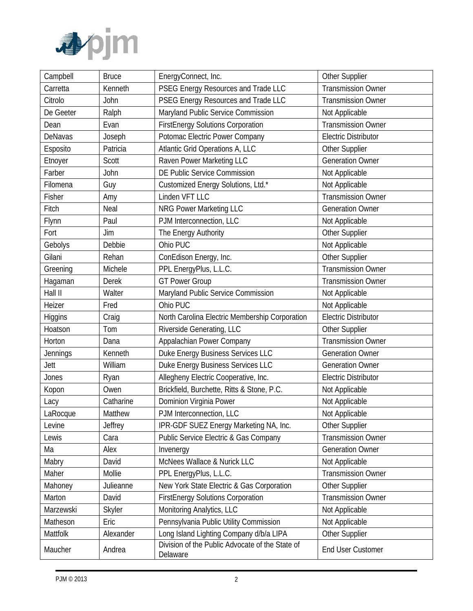

| Campbell  | <b>Bruce</b>  | EnergyConnect, Inc.                                         | Other Supplier              |
|-----------|---------------|-------------------------------------------------------------|-----------------------------|
| Carretta  | Kenneth       | PSEG Energy Resources and Trade LLC                         | <b>Transmission Owner</b>   |
| Citrolo   | John          | PSEG Energy Resources and Trade LLC                         | <b>Transmission Owner</b>   |
| De Geeter | Ralph         | Maryland Public Service Commission                          | Not Applicable              |
| Dean      | Evan          | <b>FirstEnergy Solutions Corporation</b>                    | <b>Transmission Owner</b>   |
| DeNavas   | Joseph        | Potomac Electric Power Company                              | <b>Electric Distributor</b> |
| Esposito  | Patricia      | Atlantic Grid Operations A, LLC                             | Other Supplier              |
| Etnoyer   | Scott         | Raven Power Marketing LLC                                   | <b>Generation Owner</b>     |
| Farber    | John          | DE Public Service Commission                                | Not Applicable              |
| Filomena  | Guy           | Customized Energy Solutions, Ltd.*                          | Not Applicable              |
| Fisher    | Amy           | Linden VFT LLC                                              | <b>Transmission Owner</b>   |
| Fitch     | Neal          | <b>NRG Power Marketing LLC</b>                              | <b>Generation Owner</b>     |
| Flynn     | Paul          | PJM Interconnection, LLC                                    | Not Applicable              |
| Fort      | Jim           | The Energy Authority                                        | Other Supplier              |
| Gebolys   | Debbie        | Ohio PUC                                                    | Not Applicable              |
| Gilani    | Rehan         | ConEdison Energy, Inc.                                      | Other Supplier              |
| Greening  | Michele       | PPL EnergyPlus, L.L.C.                                      | <b>Transmission Owner</b>   |
| Hagaman   | Derek         | <b>GT Power Group</b>                                       | <b>Transmission Owner</b>   |
| Hall II   | Walter        | Maryland Public Service Commission                          | Not Applicable              |
| Heizer    | Fred          | Ohio PUC                                                    | Not Applicable              |
| Higgins   | Craig         | North Carolina Electric Membership Corporation              | <b>Electric Distributor</b> |
| Hoatson   | Tom           | Riverside Generating, LLC                                   | Other Supplier              |
| Horton    | Dana          | Appalachian Power Company                                   | <b>Transmission Owner</b>   |
| Jennings  | Kenneth       | Duke Energy Business Services LLC                           | <b>Generation Owner</b>     |
| Jett      | William       | Duke Energy Business Services LLC                           | <b>Generation Owner</b>     |
| Jones     | Ryan          | Allegheny Electric Cooperative, Inc.                        | <b>Electric Distributor</b> |
| Kopon     | Owen          | Brickfield, Burchette, Ritts & Stone, P.C.                  | Not Applicable              |
| Lacy      | Catharine     | Dominion Virginia Power                                     | Not Applicable              |
| LaRocque  | Matthew       | PJM Interconnection, LLC                                    | Not Applicable              |
| Levine    | Jeffrey       | IPR-GDF SUEZ Energy Marketing NA, Inc.                      | Other Supplier              |
| Lewis     | Cara          | <b>Public Service Electric &amp; Gas Company</b>            | <b>Transmission Owner</b>   |
| Ma        | Alex          | Invenergy                                                   | <b>Generation Owner</b>     |
| Mabry     | David         | McNees Wallace & Nurick LLC                                 | Not Applicable              |
| Maher     | Mollie        | PPL EnergyPlus, L.L.C.                                      | <b>Transmission Owner</b>   |
| Mahoney   | Julieanne     | New York State Electric & Gas Corporation                   | Other Supplier              |
| Marton    | David         | <b>FirstEnergy Solutions Corporation</b>                    | <b>Transmission Owner</b>   |
| Marzewski | <b>Skyler</b> | Monitoring Analytics, LLC                                   | Not Applicable              |
| Matheson  | Eric          | Pennsylvania Public Utility Commission                      | Not Applicable              |
| Mattfolk  | Alexander     | Long Island Lighting Company d/b/a LIPA                     | Other Supplier              |
| Maucher   | Andrea        | Division of the Public Advocate of the State of<br>Delaware | End User Customer           |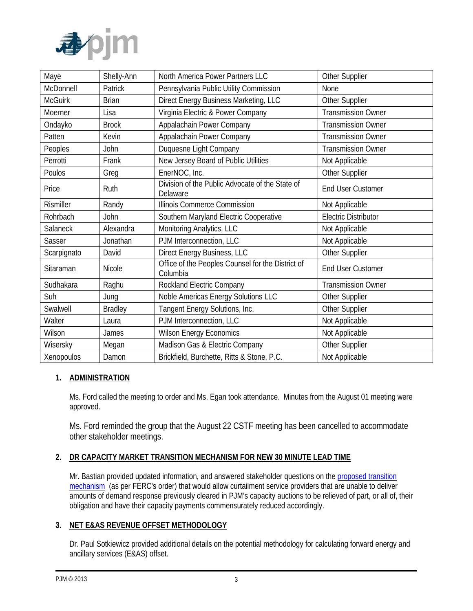

| Maye             | Shelly-Ann     | North America Power Partners LLC                              | Other Supplier              |
|------------------|----------------|---------------------------------------------------------------|-----------------------------|
| McDonnell        | Patrick        | Pennsylvania Public Utility Commission                        | None                        |
| <b>McGuirk</b>   | <b>Brian</b>   | Direct Energy Business Marketing, LLC                         | Other Supplier              |
| Moerner          | Lisa           | Virginia Electric & Power Company                             | <b>Transmission Owner</b>   |
| Ondayko          | <b>Brock</b>   | Appalachain Power Company                                     | <b>Transmission Owner</b>   |
| Patten           | Kevin          | Appalachain Power Company                                     | <b>Transmission Owner</b>   |
| Peoples          | John           | Duquesne Light Company                                        | <b>Transmission Owner</b>   |
| Perrotti         | Frank          | New Jersey Board of Public Utilities                          | Not Applicable              |
| Poulos           | Greg           | EnerNOC, Inc.                                                 | Other Supplier              |
| Price            | Ruth           | Division of the Public Advocate of the State of<br>Delaware   | <b>End User Customer</b>    |
| <b>Rismiller</b> | Randy          | Illinois Commerce Commission                                  | Not Applicable              |
| Rohrbach         | John           | Southern Maryland Electric Cooperative                        | <b>Electric Distributor</b> |
| Salaneck         | Alexandra      | Monitoring Analytics, LLC                                     | Not Applicable              |
| Sasser           | Jonathan       | PJM Interconnection, LLC                                      | Not Applicable              |
| Scarpignato      | David          | Direct Energy Business, LLC                                   | Other Supplier              |
| Sitaraman        | Nicole         | Office of the Peoples Counsel for the District of<br>Columbia | <b>End User Customer</b>    |
| Sudhakara        | Raghu          | Rockland Electric Company                                     | <b>Transmission Owner</b>   |
| Suh              | Jung           | Noble Americas Energy Solutions LLC                           | Other Supplier              |
| Swalwell         | <b>Bradley</b> | Tangent Energy Solutions, Inc.                                | Other Supplier              |
| Walter           | Laura          | PJM Interconnection, LLC                                      | Not Applicable              |
| Wilson           | James          | <b>Wilson Energy Economics</b>                                | Not Applicable              |
| Wisersky         | Megan          | Madison Gas & Electric Company                                | Other Supplier              |
| Xenopoulos       | Damon          | Brickfield, Burchette, Ritts & Stone, P.C.                    | Not Applicable              |

# **1. ADMINISTRATION**

Ms. Ford called the meeting to order and Ms. Egan took attendance. Minutes from the August 01 meeting were approved.

Ms. Ford reminded the group that the August 22 CSTF meeting has been cancelled to accommodate other stakeholder meetings.

## **2. DR CAPACITY MARKET TRANSITION MECHANISM FOR NEW 30 MINUTE LEAD TIME**

Mr. Bastian provided updated information, and answered stakeholder questions on the [proposed transition](http://pjm.com/~/media/committees-groups/task-forces/cstf/20140801/20140801-item-02-dr-capacity-market-transition-mechanism.ashx)  [mechanism](http://pjm.com/~/media/committees-groups/task-forces/cstf/20140801/20140801-item-02-dr-capacity-market-transition-mechanism.ashx) (as per FERC's order) that would allow curtailment service providers that are unable to deliver amounts of demand response previously cleared in PJM's capacity auctions to be relieved of part, or all of, their obligation and have their capacity payments commensurately reduced accordingly.

#### **3. NET E&AS REVENUE OFFSET METHODOLOGY**

Dr. Paul Sotkiewicz provided additional details on the potential methodology for calculating forward energy and ancillary services (E&AS) offset.